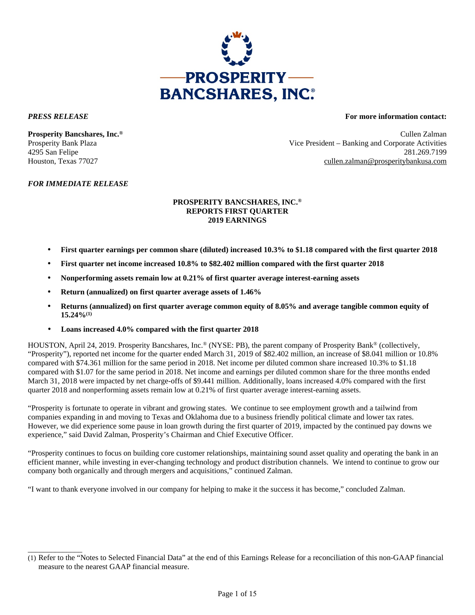

\_\_\_\_\_\_\_\_\_\_\_\_\_\_

#### *PRESS RELEASE* **For more information contact:**

**Prosperity Bancshares, Inc.®** Cullen Zalman Prosperity Bank Plaza Vice President – Banking and Corporate Activities 4295 San Felipe 281.269.7199 Houston, Texas 77027 cullen.zalman@prosperitybankusa.com

#### *FOR IMMEDIATE RELEASE*

#### **PROSPERITY BANCSHARES, INC.® REPORTS FIRST QUARTER 2019 EARNINGS**

- **First quarter earnings per common share (diluted) increased 10.3% to \$1.18 compared with the first quarter 2018**
- **First quarter net income increased 10.8% to \$82.402 million compared with the first quarter 2018**
- **Nonperforming assets remain low at 0.21% of first quarter average interest-earning assets**
- **Return (annualized) on first quarter average assets of 1.46%**
- **Returns (annualized) on first quarter average common equity of 8.05% and average tangible common equity of 15.24%(1)**
- **Loans increased 4.0% compared with the first quarter 2018**

HOUSTON, April 24, 2019. Prosperity Bancshares, Inc.® (NYSE: PB), the parent company of Prosperity Bank® (collectively, "Prosperity"), reported net income for the quarter ended March 31, 2019 of \$82.402 million, an increase of \$8.041 million or 10.8% compared with \$74.361 million for the same period in 2018. Net income per diluted common share increased 10.3% to \$1.18 compared with \$1.07 for the same period in 2018. Net income and earnings per diluted common share for the three months ended March 31, 2018 were impacted by net charge-offs of \$9.441 million. Additionally, loans increased 4.0% compared with the first quarter 2018 and nonperforming assets remain low at 0.21% of first quarter average interest-earning assets.

"Prosperity is fortunate to operate in vibrant and growing states. We continue to see employment growth and a tailwind from companies expanding in and moving to Texas and Oklahoma due to a business friendly political climate and lower tax rates. However, we did experience some pause in loan growth during the first quarter of 2019, impacted by the continued pay downs we experience," said David Zalman, Prosperity's Chairman and Chief Executive Officer.

"Prosperity continues to focus on building core customer relationships, maintaining sound asset quality and operating the bank in an efficient manner, while investing in ever-changing technology and product distribution channels. We intend to continue to grow our company both organically and through mergers and acquisitions," continued Zalman.

"I want to thank everyone involved in our company for helping to make it the success it has become," concluded Zalman.

<sup>(1)</sup> Refer to the "Notes to Selected Financial Data" at the end of this Earnings Release for a reconciliation of this non-GAAP financial measure to the nearest GAAP financial measure.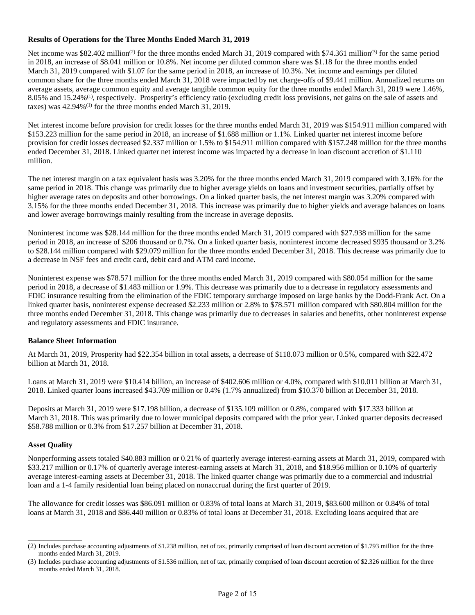#### **Results of Operations for the Three Months Ended March 31, 2019**

Net income was \$82.402 million<sup>(2)</sup> for the three months ended March 31, 2019 compared with \$74.361 million<sup>(3)</sup> for the same period in 2018, an increase of \$8.041 million or 10.8%. Net income per diluted common share was \$1.18 for the three months ended March 31, 2019 compared with \$1.07 for the same period in 2018, an increase of 10.3%. Net income and earnings per diluted common share for the three months ended March 31, 2018 were impacted by net charge-offs of \$9.441 million. Annualized returns on average assets, average common equity and average tangible common equity for the three months ended March 31, 2019 were 1.46%, 8.05% and 15.24%(1), respectively. Prosperity's efficiency ratio (excluding credit loss provisions, net gains on the sale of assets and taxes) was  $42.94\%$ <sup>(1)</sup> for the three months ended March 31, 2019.

Net interest income before provision for credit losses for the three months ended March 31, 2019 was \$154.911 million compared with \$153.223 million for the same period in 2018, an increase of \$1.688 million or 1.1%. Linked quarter net interest income before provision for credit losses decreased \$2.337 million or 1.5% to \$154.911 million compared with \$157.248 million for the three months ended December 31, 2018. Linked quarter net interest income was impacted by a decrease in loan discount accretion of \$1.110 million.

The net interest margin on a tax equivalent basis was 3.20% for the three months ended March 31, 2019 compared with 3.16% for the same period in 2018. This change was primarily due to higher average yields on loans and investment securities, partially offset by higher average rates on deposits and other borrowings. On a linked quarter basis, the net interest margin was 3.20% compared with 3.15% for the three months ended December 31, 2018. This increase was primarily due to higher yields and average balances on loans and lower average borrowings mainly resulting from the increase in average deposits.

Noninterest income was \$28.144 million for the three months ended March 31, 2019 compared with \$27.938 million for the same period in 2018, an increase of \$206 thousand or 0.7%. On a linked quarter basis, noninterest income decreased \$935 thousand or 3.2% to \$28.144 million compared with \$29.079 million for the three months ended December 31, 2018. This decrease was primarily due to a decrease in NSF fees and credit card, debit card and ATM card income.

Noninterest expense was \$78.571 million for the three months ended March 31, 2019 compared with \$80.054 million for the same period in 2018, a decrease of \$1.483 million or 1.9%. This decrease was primarily due to a decrease in regulatory assessments and FDIC insurance resulting from the elimination of the FDIC temporary surcharge imposed on large banks by the Dodd-Frank Act. On a linked quarter basis, noninterest expense decreased \$2.233 million or 2.8% to \$78.571 million compared with \$80.804 million for the three months ended December 31, 2018. This change was primarily due to decreases in salaries and benefits, other noninterest expense and regulatory assessments and FDIC insurance.

#### **Balance Sheet Information**

At March 31, 2019, Prosperity had \$22.354 billion in total assets, a decrease of \$118.073 million or 0.5%, compared with \$22.472 billion at March 31, 2018.

Loans at March 31, 2019 were \$10.414 billion, an increase of \$402.606 million or 4.0%, compared with \$10.011 billion at March 31, 2018. Linked quarter loans increased \$43.709 million or 0.4% (1.7% annualized) from \$10.370 billion at December 31, 2018.

Deposits at March 31, 2019 were \$17.198 billion, a decrease of \$135.109 million or 0.8%, compared with \$17.333 billion at March 31, 2018. This was primarily due to lower municipal deposits compared with the prior year. Linked quarter deposits decreased \$58.788 million or 0.3% from \$17.257 billion at December 31, 2018.

#### **Asset Quality**

\_\_\_\_\_\_\_\_\_\_\_\_\_\_

Nonperforming assets totaled \$40.883 million or 0.21% of quarterly average interest-earning assets at March 31, 2019, compared with \$33.217 million or 0.17% of quarterly average interest-earning assets at March 31, 2018, and \$18.956 million or 0.10% of quarterly average interest-earning assets at December 31, 2018. The linked quarter change was primarily due to a commercial and industrial loan and a 1-4 family residential loan being placed on nonaccrual during the first quarter of 2019.

The allowance for credit losses was \$86.091 million or 0.83% of total loans at March 31, 2019, \$83.600 million or 0.84% of total loans at March 31, 2018 and \$86.440 million or 0.83% of total loans at December 31, 2018. Excluding loans acquired that are

<sup>(2)</sup> Includes purchase accounting adjustments of \$1.238 million, net of tax, primarily comprised of loan discount accretion of \$1.793 million for the three months ended March 31, 2019.

<sup>(3)</sup> Includes purchase accounting adjustments of \$1.536 million, net of tax, primarily comprised of loan discount accretion of \$2.326 million for the three months ended March 31, 2018.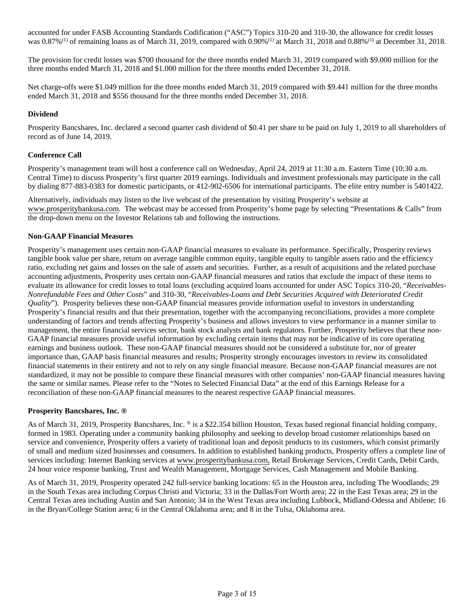accounted for under FASB Accounting Standards Codification ("ASC") Topics 310-20 and 310-30, the allowance for credit losses was  $0.87\%$ <sup>(1)</sup> of remaining loans as of March 31, 2019, compared with  $0.90\%$ <sup>(1)</sup> at March 31, 2018 and  $0.88\%$ <sup>(1)</sup> at December 31, 2018.

The provision for credit losses was \$700 thousand for the three months ended March 31, 2019 compared with \$9.000 million for the three months ended March 31, 2018 and \$1.000 million for the three months ended December 31, 2018.

Net charge-offs were \$1.049 million for the three months ended March 31, 2019 compared with \$9.441 million for the three months ended March 31, 2018 and \$556 thousand for the three months ended December 31, 2018.

#### **Dividend**

Prosperity Bancshares, Inc. declared a second quarter cash dividend of \$0.41 per share to be paid on July 1, 2019 to all shareholders of record as of June 14, 2019.

#### **Conference Call**

Prosperity's management team will host a conference call on Wednesday, April 24, 2019 at 11:30 a.m. Eastern Time (10:30 a.m. Central Time) to discuss Prosperity's first quarter 2019 earnings. Individuals and investment professionals may participate in the call by dialing 877-883-0383 for domestic participants, or 412-902-6506 for international participants. The elite entry number is 5401422.

Alternatively, individuals may listen to the live webcast of the presentation by visiting Prosperity's website at www.prosperitybankusa.com. The webcast may be accessed from Prosperity's home page by selecting "Presentations & Calls" from the drop-down menu on the Investor Relations tab and following the instructions.

#### **Non-GAAP Financial Measures**

Prosperity's management uses certain non-GAAP financial measures to evaluate its performance. Specifically, Prosperity reviews tangible book value per share, return on average tangible common equity, tangible equity to tangible assets ratio and the efficiency ratio, excluding net gains and losses on the sale of assets and securities. Further, as a result of acquisitions and the related purchase accounting adjustments, Prosperity uses certain non-GAAP financial measures and ratios that exclude the impact of these items to evaluate its allowance for credit losses to total loans (excluding acquired loans accounted for under ASC Topics 310-20, "*Receivables-Nonrefundable Fees and Other Costs*" and 310-30, "*Receivables-Loans and Debt Securities Acquired with Deteriorated Credit Quality*"). Prosperity believes these non-GAAP financial measures provide information useful to investors in understanding Prosperity's financial results and that their presentation, together with the accompanying reconciliations, provides a more complete understanding of factors and trends affecting Prosperity's business and allows investors to view performance in a manner similar to management, the entire financial services sector, bank stock analysts and bank regulators. Further, Prosperity believes that these non-GAAP financial measures provide useful information by excluding certain items that may not be indicative of its core operating earnings and business outlook. These non-GAAP financial measures should not be considered a substitute for, nor of greater importance than, GAAP basis financial measures and results; Prosperity strongly encourages investors to review its consolidated financial statements in their entirety and not to rely on any single financial measure. Because non-GAAP financial measures are not standardized, it may not be possible to compare these financial measures with other companies' non-GAAP financial measures having the same or similar names. Please refer to the "Notes to Selected Financial Data" at the end of this Earnings Release for a reconciliation of these non-GAAP financial measures to the nearest respective GAAP financial measures.

#### **Prosperity Bancshares, Inc. ®**

As of March 31, 2019, Prosperity Bancshares, Inc.  $\circ$  is a \$22.354 billion Houston, Texas based regional financial holding company, formed in 1983. Operating under a community banking philosophy and seeking to develop broad customer relationships based on service and convenience, Prosperity offers a variety of traditional loan and deposit products to its customers, which consist primarily of small and medium sized businesses and consumers. In addition to established banking products, Prosperity offers a complete line of services including: Internet Banking services at www.prosperitybankusa.com, Retail Brokerage Services, Credit Cards, Debit Cards, 24 hour voice response banking, Trust and Wealth Management, Mortgage Services, Cash Management and Mobile Banking.

As of March 31, 2019, Prosperity operated 242 full-service banking locations: 65 in the Houston area, including The Woodlands; 29 in the South Texas area including Corpus Christi and Victoria; 33 in the Dallas/Fort Worth area; 22 in the East Texas area; 29 in the Central Texas area including Austin and San Antonio; 34 in the West Texas area including Lubbock, Midland-Odessa and Abilene; 16 in the Bryan/College Station area; 6 in the Central Oklahoma area; and 8 in the Tulsa, Oklahoma area.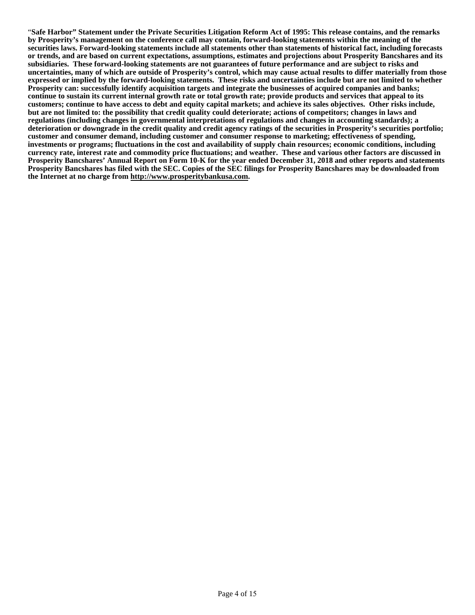"**Safe Harbor" Statement under the Private Securities Litigation Reform Act of 1995: This release contains, and the remarks by Prosperity's management on the conference call may contain, forward-looking statements within the meaning of the securities laws. Forward-looking statements include all statements other than statements of historical fact, including forecasts or trends, and are based on current expectations, assumptions, estimates and projections about Prosperity Bancshares and its subsidiaries. These forward-looking statements are not guarantees of future performance and are subject to risks and uncertainties, many of which are outside of Prosperity's control, which may cause actual results to differ materially from those expressed or implied by the forward-looking statements. These risks and uncertainties include but are not limited to whether Prosperity can: successfully identify acquisition targets and integrate the businesses of acquired companies and banks; continue to sustain its current internal growth rate or total growth rate; provide products and services that appeal to its customers; continue to have access to debt and equity capital markets; and achieve its sales objectives. Other risks include, but are not limited to: the possibility that credit quality could deteriorate; actions of competitors; changes in laws and regulations (including changes in governmental interpretations of regulations and changes in accounting standards); a deterioration or downgrade in the credit quality and credit agency ratings of the securities in Prosperity's securities portfolio; customer and consumer demand, including customer and consumer response to marketing; effectiveness of spending, investments or programs; fluctuations in the cost and availability of supply chain resources; economic conditions, including currency rate, interest rate and commodity price fluctuations; and weather. These and various other factors are discussed in Prosperity Bancshares' Annual Report on Form 10-K for the year ended December 31, 2018 and other reports and statements Prosperity Bancshares has filed with the SEC. Copies of the SEC filings for Prosperity Bancshares may be downloaded from the Internet at no charge from http://www.prosperitybankusa.com.**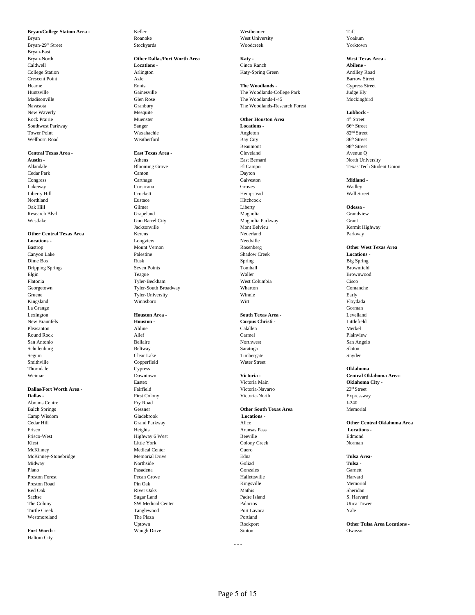Bryan Roanoke Roanoke West University Voakum Bryan-29th Street Stockyards Stockyards Stockyards Woodcreek Woodcreek Stock Stock own Stockyards Stockyards Stockyards Stockyards Stockyards Stockyards Stockyards Stockyards Stockyards Stockyards Stockyards Stockyards Sto Bryan-East New Waverly **Lubbock - Lubbock - Mesquite Mesquite Mesquite Lubbock - <b>Lubbock - Lubbock - Lubbock - Lubbock - Lubbock - Lubbock - Lubbock - Lubbock - Lubbock - Lubbock - Lubbock - Lubbock -**Rock Prairie **Area 3 Automobile 2 Automobile Area** 4<sup>th</sup> Street **Continuest Parkway**<br>
Sanger **Continuest Parkway**<br>
Sanger **Continuest Parkway**<br>
Sanger **Continuest Parkway** Southwest Parkway **Sanger** Sanger **Sanger** Sanger **Locations - Community Sanger** Street Tower Point Waxahachie Angleton 82nd Street Wellborn Road and So<sup>th</sup> Street Weatherford Bay City Bay City 86<sup>th</sup> Street

### **Central Texas Area - East Texas Area -** Cleveland Avenue Q

La Grange Gorman

**Dallas -** First Colony First Colony Victoria-North Victoria-North Expressway Abrams Centre **Fry Road** I-240 Balch Springs Gessner **Other South Texas Area** Memorial Camp Wisdom Gladebrook **Locations -** McKinney Medical Center Cuero

Haltom City

## Bryan-North **Other Dallas/Fort Worth Area Katy - West Texas Area -** Caldwell **Locations -** Cinco Ranch **Abilene -** College Station Arlington Katy-Spring Green Antilley Road Crescent Point **Azle** Azle **Barrow Street** Barrow Street

**Austin -** The Company of Athens Athens Athens **East Bernard** East Bernard North University Cedar Park Canton Dayton Congress Carthage Galveston **Midland -** Lakeway Corsicana Groves Wadley Liberty Hill **Example 2018** Crockett **Hempstead** Hempstead Wall Street Northland Eustace Hitchcock Oak Hill Gilmer Liberty **Odessa -** Research Blvd Grapeland Grapeland Grapeland Magnolia Magnolia Westlake Gun Barrel City Magnolia Parkway Grant Jacksonville Mont Belvieu Kermit Highway **Other Central Texas Area Mediate Area Kerens Nederland Parkway (Parkway Parkway Parkway Parkway Parkway Parkway Parkway Parkway Parkway Parkway Parkway Parkway Parkway Parkway Parkway Parkway Parkway Parkway Parkway Parkw Locations -** Longview Longview Needville Canyon Lake **Locations -** Palestine Palestine Shadow Creek Shadow Creek **Locations -**Dime Box Rusk Spring Big Spring Dripping Springs Seven Points Tomball Brownfield Elgin Teague Waller Brownwood Flatonia Tyler-Beckham West Columbia Cisco Georgetown Tyler-South Broadway Wharton Comanche Gruene **Tyler-University** Tyler-University **Winnie** Winnie **Early** Kingsland Winnsboro Wirt Floydada

# New Braunfels **Houston - Houston - Corpus Christi** - **Corpus Christi** - **Corpus Christi** - **Corpus Christi** - **Calallen Merkel** Pleasanton Aldine Calallen Merkel Round Rock **Alief** Alief Carmel Carmel **Carmel Carmel Plainview** Plainview San Antonio San Angelo (San Angelo Bellaire Northwest Northwest San Angelo San Angelo San Angelo San Angelo San Angelo Schulenburg Beltway Saratoga Slaton Seguin Clear Lake Timbergate Snyder Smithville Copperfield Water Street Thorndale Cypress **Oklahoma** Eastex Victoria Main **Oklahoma City - Dallas/Fort Worth Area -** Fairfield **Pairfield Victoria-Navarro** 23<sup>rd</sup> Street 23<sup>rd</sup> Street **Dallas -** 23<sup>rd</sup> Street 23rd Street **Pairfield** Victoria-North 23rd Street 23rd Street 23rd Street 23rd Street 23rd Street 25rd Westmoreland **The Plaza Portland** Portland **Properties Fort Worth -** Construction of Construction Construction of Construction of Construction Owasso

**Bryan/College Station Area -** Keller Westheimer Taft

Hearne Ennis **The Woodlands -** Cypress Street Huntsville Gainesville The Woodlands-College Park Judge Ely The Woodlands-I-45 Navasota Granbury The Woodlands-Research Forest

Beaumont 98<sup>th</sup> Street

Lexington **Houston Area - South Texas Area -** Levelland

#### Frisco Heights Aransas Pass **Locations -** Frisco-West Edmond<br>
Edmond Ethiophy Color (Edmond Edmond Edmond Edmond Edmond Edmond Edmond Edmond Edmond Edmond Edmond Edmond Edmond Edmond Edmond Edmond Edmond Edmond Edmond Edmond Edmond Edmond Edmond Edmond Edmond Edmo Kiest Eittle York Colony Creek Norman Norman Colony Creek Norman Norman Norman Norman Norman Norman Norman Norman Norman Norman Norman Norman Norman Norman Norman Norman Norman Norman Norman Norman Norman Norman Norman Nor McKinney-Stonebridge Memorial Drive Edna **Tulsa Area-**Midway **Northside Collad** Goliad **Tulsa -** Northside Goliad **Tulsa - Collad** Collad Plano **Pasadena** Pasadena Garnett Garnett Garnett Garnett Garnett Garnett Garnett Garnett Garnett Garnett Garnett Preston Forest Pecan Grove Hallettsville Harvard Preston Road Nemorial Pin Oak Pin Oak Nemorial Memorial Memorial Memorial Memorial Memorial Red Oak **River Oaks** River Oaks **River Sheridan** Nathis Sheridan Sheridan Sheridan Sugar Land Padre Island Padre Island S. Harvard The Colony **SW Medical Center 2006** Palacios Palacios Utica Tower Turtle Creek **Tanglewood** Port Lavaca Port Lavaca Port Port Lavaca Port Lavaca Port Lavaca Port Lavaca Port Lavaca

- - -

4<sup>th</sup> Street

Allandale Blooming Grove El Campo Texas Tech Student Union

Bastrop Mount Vernon Rosenberg **Other West Texas Area** Weimar Downtown **Victoria - Central Oklahoma Area-**Cedar Hill Grand Parkway Alice **Other Central Oklahoma Area**

Uptown Rockport **Other Tulsa Area Locations -**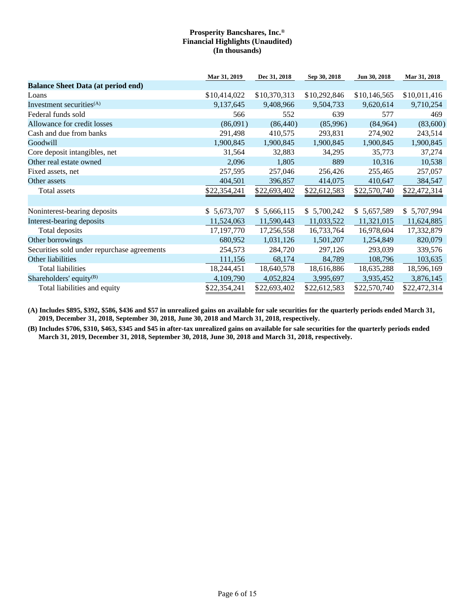|                                             | Mar 31, 2019 | Dec 31, 2018 | Sep 30, 2018 | Jun 30, 2018 | Mar 31, 2018 |
|---------------------------------------------|--------------|--------------|--------------|--------------|--------------|
| <b>Balance Sheet Data (at period end)</b>   |              |              |              |              |              |
| Loans                                       | \$10,414,022 | \$10,370,313 | \$10,292,846 | \$10,146,565 | \$10,011,416 |
| Investment securities $(A)$                 | 9,137,645    | 9,408,966    | 9,504,733    | 9,620,614    | 9,710,254    |
| Federal funds sold                          | 566          | 552          | 639          | 577          | 469          |
| Allowance for credit losses                 | (86,091)     | (86, 440)    | (85,996)     | (84, 964)    | (83,600)     |
| Cash and due from banks                     | 291,498      | 410,575      | 293,831      | 274,902      | 243,514      |
| Goodwill                                    | 1,900,845    | 1,900,845    | 1,900,845    | 1,900,845    | 1,900,845    |
| Core deposit intangibles, net               | 31,564       | 32,883       | 34,295       | 35,773       | 37,274       |
| Other real estate owned                     | 2,096        | 1,805        | 889          | 10,316       | 10,538       |
| Fixed assets, net                           | 257,595      | 257,046      | 256,426      | 255,465      | 257,057      |
| Other assets                                | 404,501      | 396,857      | 414,075      | 410,647      | 384,547      |
| Total assets                                | \$22,354,241 | \$22,693,402 | \$22,612,583 | \$22,570,740 | \$22,472,314 |
|                                             |              |              |              |              |              |
| Noninterest-bearing deposits                | \$5,673,707  | \$5,666,115  | \$5,700,242  | \$5,657,589  | \$5,707,994  |
| Interest-bearing deposits                   | 11,524,063   | 11,590,443   | 11,033,522   | 11,321,015   | 11,624,885   |
| Total deposits                              | 17,197,770   | 17,256,558   | 16,733,764   | 16,978,604   | 17,332,879   |
| Other borrowings                            | 680,952      | 1,031,126    | 1,501,207    | 1,254,849    | 820,079      |
| Securities sold under repurchase agreements | 254,573      | 284,720      | 297,126      | 293,039      | 339,576      |
| Other liabilities                           | 111,156      | 68,174       | 84,789       | 108,796      | 103,635      |
| <b>Total liabilities</b>                    | 18,244,451   | 18,640,578   | 18,616,886   | 18,635,288   | 18,596,169   |
| Shareholders' equity <sup>(B)</sup>         | 4,109,790    | 4,052,824    | 3,995,697    | 3,935,452    | 3,876,145    |
| Total liabilities and equity                | \$22,354,241 | \$22,693,402 | \$22,612,583 | \$22,570,740 | \$22,472,314 |

**(A) Includes \$895, \$392, \$586, \$436 and \$57 in unrealized gains on available for sale securities for the quarterly periods ended March 31, 2019, December 31, 2018, September 30, 2018, June 30, 2018 and March 31, 2018, respectively.**

**(B) Includes \$706, \$310, \$463, \$345 and \$45 in after-tax unrealized gains on available for sale securities for the quarterly periods ended March 31, 2019, December 31, 2018, September 30, 2018, June 30, 2018 and March 31, 2018, respectively.**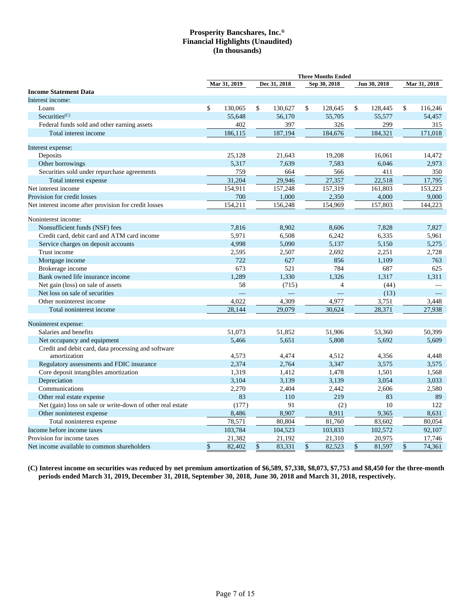|                                                            | <b>Three Months Ended</b> |              |                           |              |              |                |    |              |              |                          |
|------------------------------------------------------------|---------------------------|--------------|---------------------------|--------------|--------------|----------------|----|--------------|--------------|--------------------------|
|                                                            |                           | Mar 31, 2019 |                           | Dec 31, 2018 |              | Sep 30, 2018   |    | Jun 30, 2018 | Mar 31, 2018 |                          |
| <b>Income Statement Data</b>                               |                           |              |                           |              |              |                |    |              |              |                          |
| Interest income:                                           |                           |              |                           |              |              |                |    |              |              |                          |
| Loans                                                      | \$                        | 130,065      | \$                        | 130,627      | $\mathbb{S}$ | 128,645        | \$ | 128,445      | \$           | 116,246                  |
| Securities <sup>(C)</sup>                                  |                           | 55,648       |                           | 56.170       |              | 55,705         |    | 55,577       |              | 54,457                   |
| Federal funds sold and other earning assets                |                           | 402          |                           | 397          |              | 326            |    | 299          |              | 315                      |
| Total interest income                                      |                           | 186,115      |                           | 187,194      |              | 184,676        |    | 184,321      |              | 171,018                  |
| Interest expense:                                          |                           |              |                           |              |              |                |    |              |              |                          |
| Deposits                                                   |                           | 25,128       |                           | 21,643       |              | 19,208         |    | 16,061       |              | 14,472                   |
| Other borrowings                                           |                           | 5,317        |                           | 7,639        |              | 7,583          |    | 6,046        |              | 2,973                    |
| Securities sold under repurchase agreements                |                           | 759          |                           | 664          |              | 566            |    | 411          |              | 350                      |
| Total interest expense                                     |                           | 31,204       |                           | 29,946       |              | 27,357         |    | 22,518       |              | 17,795                   |
| Net interest income                                        |                           | 154,911      |                           | 157,248      |              | 157,319        |    | 161,803      |              | 153,223                  |
| Provision for credit losses                                |                           | 700          |                           | 1,000        |              | 2,350          |    | 4,000        |              | 9,000                    |
| Net interest income after provision for credit losses      |                           | 154,211      |                           | 156,248      |              | 154,969        |    | 157,803      |              | 144,223                  |
| Noninterest income:                                        |                           |              |                           |              |              |                |    |              |              |                          |
| Nonsufficient funds (NSF) fees                             |                           | 7,816        |                           | 8,902        |              | 8,606          |    | 7,828        |              | 7,827                    |
| Credit card, debit card and ATM card income                |                           | 5,971        |                           | 6,508        |              | 6,242          |    | 6,335        |              | 5,961                    |
| Service charges on deposit accounts                        |                           | 4,998        |                           | 5,090        |              | 5,137          |    | 5,150        |              | 5,275                    |
| Trust income                                               |                           | 2,595        |                           | 2,507        |              | 2,692          |    | 2,251        |              | 2,728                    |
| Mortgage income                                            |                           | 722          |                           | 627          |              | 856            |    | 1,109        |              | 763                      |
| Brokerage income                                           |                           | 673          |                           | 521          |              | 784            |    | 687          |              | 625                      |
| Bank owned life insurance income                           |                           | 1,289        |                           | 1,330        |              | 1.326          |    | 1,317        |              | 1,311                    |
| Net gain (loss) on sale of assets                          |                           | 58           |                           | (715)        |              | $\overline{4}$ |    | (44)         |              | $\overline{\phantom{0}}$ |
| Net loss on sale of securities                             |                           |              |                           |              |              |                |    | (13)         |              |                          |
| Other noninterest income                                   |                           | 4,022        |                           | 4,309        |              | 4,977          |    | 3,751        |              | 3,448                    |
| Total noninterest income                                   |                           | 28,144       |                           | 29,079       |              | 30,624         |    | 28,371       |              | 27,938                   |
| Noninterest expense:                                       |                           |              |                           |              |              |                |    |              |              |                          |
| Salaries and benefits                                      |                           | 51,073       |                           | 51,852       |              | 51,906         |    | 53,360       |              | 50,399                   |
| Net occupancy and equipment                                |                           | 5,466        |                           | 5,651        |              | 5.808          |    | 5.692        |              | 5,609                    |
| Credit and debit card, data processing and software        |                           |              |                           |              |              |                |    |              |              |                          |
| amortization                                               |                           | 4,573        |                           | 4,474        |              | 4,512          |    | 4,356        |              | 4,448                    |
| Regulatory assessments and FDIC insurance                  |                           | 2,374        |                           | 2,764        |              | 3,347          |    | 3,575        |              | 3,575                    |
| Core deposit intangibles amortization                      |                           | 1,319        |                           | 1,412        |              | 1,478          |    | 1,501        |              | 1,568                    |
| Depreciation                                               |                           | 3,104        |                           | 3,139        |              | 3,139          |    | 3,054        |              | 3,033                    |
| Communications                                             |                           | 2,270        |                           | 2,404        |              | 2,442          |    | 2,606        |              | 2,580                    |
| Other real estate expense                                  |                           | 83           | 219<br>110                |              |              |                | 83 |              | 89           |                          |
| Net (gain) loss on sale or write-down of other real estate |                           | (177)        |                           | 91           | 10<br>(2)    |                |    |              |              | 122                      |
| Other noninterest expense                                  |                           | 8,486        |                           | 8,907        |              | 8,911          |    | 9,365        |              | 8,631                    |
| Total noninterest expense                                  |                           | 78,571       |                           | 80,804       |              | 81,760         |    | 83,602       |              | 80,054                   |
| Income before income taxes                                 |                           | 103,784      |                           | 104,523      |              | 103,833        |    | 102,572      |              | 92,107                   |
| Provision for income taxes                                 |                           | 21,382       |                           | 21,192       |              | 21,310         |    | 20,975       |              | 17,746                   |
| Net income available to common shareholders                | $\boldsymbol{\mathsf{S}}$ | 82.402       | $\boldsymbol{\mathsf{S}}$ | 83,331       | $\sqrt{\ }$  | 82,523         | \$ | 81,597       | \$           | 74,361                   |

**(C) Interest income on securities was reduced by net premium amortization of \$6,589, \$7,338, \$8,073, \$7,753 and \$8,450 for the three-month periods ended March 31, 2019, December 31, 2018, September 30, 2018, June 30, 2018 and March 31, 2018, respectively.**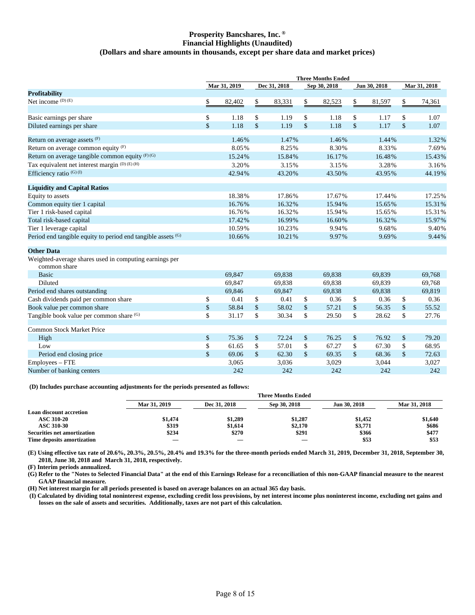#### **Prosperity Bancshares, Inc. ® Financial Highlights (Unaudited) (Dollars and share amounts in thousands, except per share data and market prices)**

|                                                                        |              | Mar 31, 2019 |               | Dec 31, 2018 |               | Sep 30, 2018 | Jun 30, 2018 | Mar 31, 2018  |        |  |
|------------------------------------------------------------------------|--------------|--------------|---------------|--------------|---------------|--------------|--------------|---------------|--------|--|
| Profitability                                                          |              |              |               |              |               |              |              |               |        |  |
| Net income $(D)$ (E)                                                   | \$           | 82,402       | \$            | 83,331       | \$            | 82,523       | \$<br>81,597 | \$            | 74,361 |  |
| Basic earnings per share                                               | \$<br>1.18   |              | \$            | 1.19         | \$            | 1.18         | \$<br>1.17   | \$            | 1.07   |  |
| Diluted earnings per share                                             | \$           | 1.18         | $\mathsf{\$}$ | 1.19         | $\mathsf{\$}$ | 1.18         | \$<br>1.17   | $\mathsf{\$}$ | 1.07   |  |
|                                                                        |              |              |               |              |               |              |              |               |        |  |
| Return on average assets (F)                                           |              | 1.46%        |               | 1.47%        |               | 1.46%        | 1.44%        |               | 1.32%  |  |
| Return on average common equity (F)                                    |              | 8.05%        |               | 8.25%        |               | 8.30%        | 8.33%        |               | 7.69%  |  |
| Return on average tangible common equity (F)(G)                        |              | 15.24%       |               | 15.84%       |               | 16.17%       | 16.48%       |               | 15.43% |  |
| Tax equivalent net interest margin (D) (E) (H)                         |              | 3.20%        |               | 3.15%        |               | 3.15%        | 3.28%        |               | 3.16%  |  |
| Efficiency ratio (G)(I)                                                |              | 42.94%       |               | 43.20%       |               | 43.50%       | 43.95%       |               | 44.19% |  |
| <b>Liquidity and Capital Ratios</b>                                    |              |              |               |              |               |              |              |               |        |  |
| Equity to assets                                                       |              | 18.38%       |               | 17.86%       |               | 17.67%       | 17.44%       |               | 17.25% |  |
| Common equity tier 1 capital                                           |              | 16.76%       |               | 16.32%       |               | 15.94%       | 15.65%       | 15.31%        |        |  |
| Tier 1 risk-based capital                                              |              | 16.76%       |               | 16.32%       |               | 15.94%       | 15.65%       |               | 15.31% |  |
| Total risk-based capital                                               |              | 17.42%       |               | 16.99%       |               | 16.60%       | 16.32%       |               | 15.97% |  |
| Tier 1 leverage capital                                                |              | 10.59%       |               | 10.23%       |               | 9.94%        | 9.68%        |               | 9.40%  |  |
| Period end tangible equity to period end tangible assets (G)           |              | 10.66%       |               | 10.21%       |               | 9.97%        | 9.69%        |               | 9.44%  |  |
| <b>Other Data</b>                                                      |              |              |               |              |               |              |              |               |        |  |
| Weighted-average shares used in computing earnings per<br>common share |              |              |               |              |               |              |              |               |        |  |
| <b>Basic</b>                                                           |              | 69,847       |               | 69,838       |               | 69,838       | 69,839       |               | 69,768 |  |
| Diluted                                                                |              | 69,847       |               | 69,838       |               | 69,838       | 69,839       |               | 69,768 |  |
| Period end shares outstanding                                          |              | 69,846       |               | 69.847       |               | 69.838       | 69.838       |               | 69.819 |  |
| Cash dividends paid per common share                                   | \$           | 0.41         | \$            | 0.41         | \$            | 0.36         | \$<br>0.36   | \$            | 0.36   |  |
| Book value per common share                                            | \$           | 58.84        | \$            | 58.02        | \$            | 57.21        | \$<br>56.35  | \$            | 55.52  |  |
| Tangible book value per common share (G)                               | \$           | 31.17        | \$            | 30.34        | \$            | 29.50        | \$<br>28.62  | \$            | 27.76  |  |
| Common Stock Market Price                                              |              |              |               |              |               |              |              |               |        |  |
| High                                                                   | \$           | 75.36        |               | 72.24        | \$            | 76.25        | \$<br>76.92  | \$            | 79.20  |  |
| Low                                                                    | \$           | 61.65        | \$            | 57.01        | \$<br>67.27   |              | \$<br>67.30  |               | 68.95  |  |
| Period end closing price                                               | $\mathbb{S}$ | 69.06        | $\mathsf{\$}$ | 62.30        | $\mathsf{\$}$ | 69.35        | \$<br>68.36  | $\mathsf{\$}$ | 72.63  |  |
| Employees – FTE                                                        |              | 3,065        |               | 3,036        |               | 3,029        | 3,044        |               | 3,027  |  |
| Number of banking centers                                              |              | 242          |               | 242          |               | 242          | 242          |               | 242    |  |

**(D) Includes purchase accounting adjustments for the periods presented as follows:**

|                                    | . .          |              |                           |              |              |
|------------------------------------|--------------|--------------|---------------------------|--------------|--------------|
|                                    |              |              | <b>Three Months Ended</b> |              |              |
|                                    | Mar 31, 2019 | Dec 31, 2018 | Sep 30, 2018              | Jun 30, 2018 | Mar 31, 2018 |
| <b>Loan discount accretion</b>     |              |              |                           |              |              |
| <b>ASC 310-20</b>                  | \$1,474      | \$1,289      | \$1,287                   | \$1,452      | \$1,640      |
| ASC 310-30                         | \$319        | \$1,614      | \$2,170                   | \$3,771      | \$686        |
| <b>Securities net amortization</b> | \$234        | \$270        | \$291                     | \$366        | \$477        |
| Time deposits amortization         |              |              |                           | \$53         | \$53         |
|                                    |              |              |                           |              |              |

**(E) Using effective tax rate of 20.6%, 20.3%, 20.5%, 20.4% and 19.3% for the three-month periods ended March 31, 2019, December 31, 2018, September 30, 2018, June 30, 2018 and March 31, 2018, respectively.**

**(F) Interim periods annualized.**

**(G) Refer to the "Notes to Selected Financial Data" at the end of this Earnings Release for a reconciliation of this non-GAAP financial measure to the nearest GAAP financial measure.**

**(H) Net interest margin for all periods presented is based on average balances on an actual 365 day basis.**

**(I) Calculated by dividing total noninterest expense, excluding credit loss provisions, by net interest income plus noninterest income, excluding net gains and losses on the sale of assets and securities. Additionally, taxes are not part of this calculation.**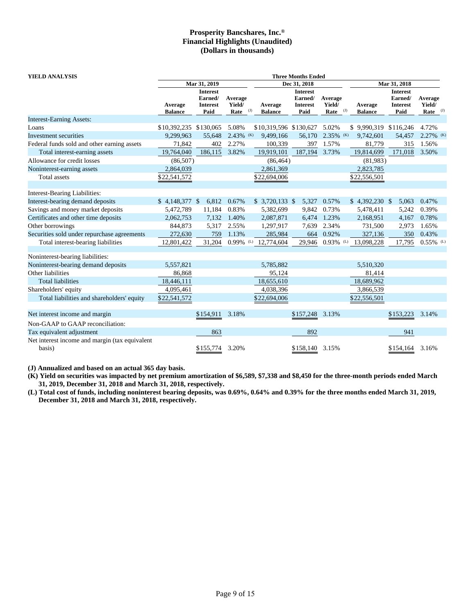| YIELD ANALYSIS                                           | <b>Three Months Ended</b> |                                                       |                           |                                  |                                                       |                           |                                  |                                                       |                                 |  |  |  |
|----------------------------------------------------------|---------------------------|-------------------------------------------------------|---------------------------|----------------------------------|-------------------------------------------------------|---------------------------|----------------------------------|-------------------------------------------------------|---------------------------------|--|--|--|
|                                                          |                           | Mar 31, 2019                                          |                           |                                  | Dec 31, 2018                                          |                           |                                  | Mar 31, 2018                                          |                                 |  |  |  |
|                                                          | Average<br><b>Balance</b> | <b>Interest</b><br>Earned/<br><b>Interest</b><br>Paid | Average<br>Yield/<br>Rate | Average<br>(J)<br><b>Balance</b> | <b>Interest</b><br>Earned/<br><b>Interest</b><br>Paid | Average<br>Yield/<br>Rate | Average<br>(J)<br><b>Balance</b> | <b>Interest</b><br>Earned/<br><b>Interest</b><br>Paid | Average<br>Yield/<br>Rate $(1)$ |  |  |  |
| <b>Interest-Earning Assets:</b>                          |                           |                                                       |                           |                                  |                                                       |                           |                                  |                                                       |                                 |  |  |  |
| Loans                                                    | \$10,392,235 \$130,065    |                                                       | 5.08%                     | \$10,319,596 \$130,627           |                                                       | 5.02%                     | \$9,990,319 \$116,246            |                                                       | 4.72%                           |  |  |  |
| Investment securities                                    | 9,299,963                 | 55,648                                                | $2.43\%$ (K)              | 9,499,166                        | 56,170                                                | 2.35% (K)                 | 9,742,601                        | 54,457                                                | 2.27% (K)                       |  |  |  |
| Federal funds sold and other earning assets              | 71,842                    | 402                                                   | 2.27%                     | 100,339                          | 397                                                   | 1.57%                     | 81,779                           | 315                                                   | 1.56%                           |  |  |  |
| Total interest-earning assets                            | 19,764,040                | 186,115                                               | 3.82%                     | 19,919,101                       | 187,194                                               | 3.73%                     | 19,814,699                       | 171,018                                               | 3.50%                           |  |  |  |
| Allowance for credit losses                              | (86, 507)                 |                                                       |                           | (86, 464)                        |                                                       |                           | (81,983)                         |                                                       |                                 |  |  |  |
| Noninterest-earning assets                               | 2,864,039                 |                                                       |                           | 2,861,369                        |                                                       |                           | 2,823,785                        |                                                       |                                 |  |  |  |
| Total assets                                             | \$22,541,572              |                                                       |                           | \$22,694,006                     |                                                       |                           | \$22,556,501                     |                                                       |                                 |  |  |  |
| Interest-Bearing Liabilities:                            |                           |                                                       |                           |                                  |                                                       |                           |                                  |                                                       |                                 |  |  |  |
| Interest-bearing demand deposits                         | $$4,148,377$ \;           | 6,812                                                 | 0.67%                     | $$3,720,133$ \$                  | 5,327                                                 | 0.57%                     | $$4,392,230$ \;                  | 5,063                                                 | 0.47%                           |  |  |  |
| Savings and money market deposits                        | 5,472,789                 | 11,184                                                | 0.83%                     | 5,382,699                        | 9,842                                                 | 0.73%                     | 5,478,411                        | 5,242                                                 | 0.39%                           |  |  |  |
| Certificates and other time deposits                     | 2,062,753                 | 7,132                                                 | 1.40%                     | 2,087,871                        | 6,474                                                 | 1.23%                     | 2,168,951                        | 4,167                                                 | 0.78%                           |  |  |  |
| Other borrowings                                         | 844,873                   | 5,317                                                 | 2.55%                     | 1,297,917                        | 7,639                                                 | 2.34%                     | 731,500                          | 2,973                                                 | 1.65%                           |  |  |  |
| Securities sold under repurchase agreements              | 272,630                   | 759                                                   | 1.13%                     | 285,984                          | 664                                                   | 0.92%                     | 327,136                          | 350                                                   | 0.43%                           |  |  |  |
| Total interest-bearing liabilities                       | 12,801,422                | 31,204                                                | $0.99\%$ (L)              | 12,774,604                       | 29,946                                                | $0.93\%$ <sup>(L)</sup>   | 13,098,228                       | 17,795                                                | $0.55\%$ <sup>(L)</sup>         |  |  |  |
| Noninterest-bearing liabilities:                         |                           |                                                       |                           |                                  |                                                       |                           |                                  |                                                       |                                 |  |  |  |
| Noninterest-bearing demand deposits                      | 5,557,821                 |                                                       |                           | 5,785,882                        |                                                       |                           | 5,510,320                        |                                                       |                                 |  |  |  |
| Other liabilities                                        | 86,868                    |                                                       |                           | 95.124                           |                                                       |                           | 81,414                           |                                                       |                                 |  |  |  |
| <b>Total liabilities</b>                                 | 18,446,111                |                                                       |                           | 18,655,610                       |                                                       |                           | 18,689,962                       |                                                       |                                 |  |  |  |
| Shareholders' equity                                     | 4,095,461                 |                                                       |                           | 4,038,396                        |                                                       |                           | 3,866,539                        |                                                       |                                 |  |  |  |
| Total liabilities and shareholders' equity               | \$22,541,572              |                                                       |                           | \$22,694,006                     |                                                       |                           | \$22,556,501                     |                                                       |                                 |  |  |  |
| Net interest income and margin                           |                           | \$154,911                                             | 3.18%                     |                                  | \$157,248                                             | 3.13%                     |                                  | \$153,223                                             | 3.14%                           |  |  |  |
| Non-GAAP to GAAP reconciliation:                         |                           |                                                       |                           |                                  |                                                       |                           |                                  |                                                       |                                 |  |  |  |
| Tax equivalent adjustment                                |                           | 863                                                   |                           |                                  | 892                                                   |                           |                                  | 941                                                   |                                 |  |  |  |
| Net interest income and margin (tax equivalent<br>basis) |                           | \$155,774                                             | 3.20%                     |                                  | \$158,140                                             | 3.15%                     |                                  | \$154,164                                             | 3.16%                           |  |  |  |

**(J) Annualized and based on an actual 365 day basis.**

**(K) Yield on securities was impacted by net premium amortization of \$6,589, \$7,338 and \$8,450 for the three-month periods ended March 31, 2019, December 31, 2018 and March 31, 2018, respectively.**

**(L) Total cost of funds, including noninterest bearing deposits, was 0.69%, 0.64% and 0.39% for the three months ended March 31, 2019, December 31, 2018 and March 31, 2018, respectively.**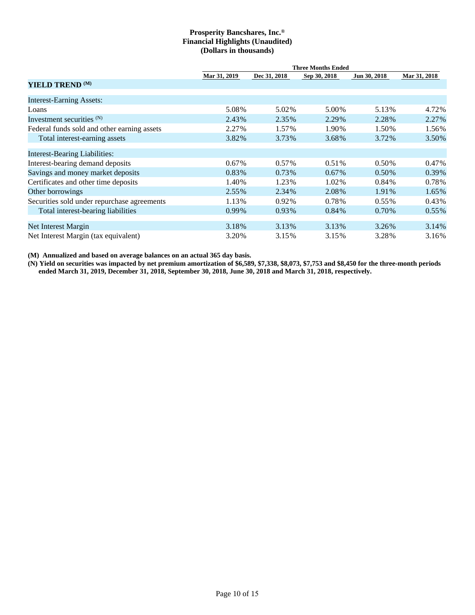|                                             |              |              | <b>Three Months Ended</b> |              |              |
|---------------------------------------------|--------------|--------------|---------------------------|--------------|--------------|
|                                             | Mar 31, 2019 | Dec 31, 2018 | Sep 30, 2018              | Jun 30, 2018 | Mar 31, 2018 |
| YIELD TREND <sup>(M)</sup>                  |              |              |                           |              |              |
| <b>Interest-Earning Assets:</b>             |              |              |                           |              |              |
| Loans                                       | 5.08%        | 5.02%        | 5.00%                     | 5.13%        | 4.72%        |
| Investment securities $(N)$                 | 2.43%        | 2.35%        | 2.29%                     | 2.28%        | 2.27%        |
| Federal funds sold and other earning assets | 2.27%        | 1.57%        | 1.90%                     | 1.50%        | 1.56%        |
| Total interest-earning assets               | 3.82%        | 3.73%        | 3.68%                     | 3.72%        | 3.50%        |
| <b>Interest-Bearing Liabilities:</b>        |              |              |                           |              |              |
| Interest-bearing demand deposits            | 0.67%        | $0.57\%$     | 0.51%                     | $0.50\%$     | $0.47\%$     |
| Savings and money market deposits           | 0.83%        | 0.73%        | $0.67\%$                  | 0.50%        | $0.39\%$     |
| Certificates and other time deposits        | 1.40%        | 1.23%        | 1.02%                     | $0.84\%$     | 0.78%        |
| Other borrowings                            | 2.55%        | 2.34%        | 2.08%                     | 1.91%        | 1.65%        |
| Securities sold under repurchase agreements | 1.13%        | 0.92%        | 0.78%                     | $0.55\%$     | $0.43\%$     |
| Total interest-bearing liabilities          | $0.99\%$     | 0.93%        | 0.84%                     | 0.70%        | $0.55\%$     |
| Net Interest Margin                         | 3.18%        | 3.13%        | 3.13%                     | 3.26%        | 3.14%        |
| Net Interest Margin (tax equivalent)        | 3.20%        | 3.15%        | 3.15%                     | 3.28%        | 3.16%        |

**(M) Annualized and based on average balances on an actual 365 day basis.**

**(N) Yield on securities was impacted by net premium amortization of \$6,589, \$7,338, \$8,073, \$7,753 and \$8,450 for the three-month periods ended March 31, 2019, December 31, 2018, September 30, 2018, June 30, 2018 and March 31, 2018, respectively.**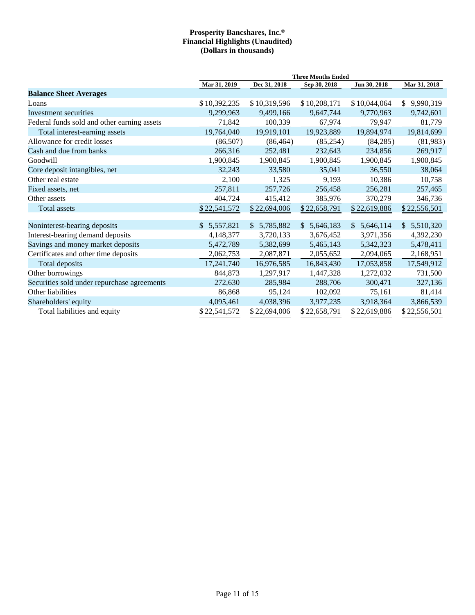|                                             |              |              | <b>Three Months Ended</b>   |              |                             |
|---------------------------------------------|--------------|--------------|-----------------------------|--------------|-----------------------------|
|                                             | Mar 31, 2019 | Dec 31, 2018 | Sep 30, 2018                | Jun 30, 2018 | Mar 31, 2018                |
| <b>Balance Sheet Averages</b>               |              |              |                             |              |                             |
| Loans                                       | \$10,392,235 | \$10,319,596 | \$10,208,171                | \$10,044,064 | 9,990,319<br>\$             |
| Investment securities                       | 9,299,963    | 9,499,166    | 9,647,744                   | 9,770,963    | 9,742,601                   |
| Federal funds sold and other earning assets | 71,842       | 100,339      | 67,974                      | 79,947       | 81,779                      |
| Total interest-earning assets               | 19,764,040   | 19,919,101   | 19,923,889                  | 19,894,974   | 19,814,699                  |
| Allowance for credit losses                 | (86,507)     | (86, 464)    | (85,254)                    | (84, 285)    | (81,983)                    |
| Cash and due from banks                     | 266,316      | 252,481      | 232,643                     | 234,856      | 269,917                     |
| Goodwill                                    | 1,900,845    | 1,900,845    | 1,900,845                   | 1,900,845    | 1,900,845                   |
| Core deposit intangibles, net               | 32,243       | 33,580       | 35,041                      | 36,550       | 38,064                      |
| Other real estate                           | 2,100        | 1,325        | 9,193                       | 10,386       | 10,758                      |
| Fixed assets, net                           | 257,811      | 257,726      | 256,458                     | 256,281      | 257,465                     |
| Other assets                                | 404,724      | 415,412      | 385,976                     | 370,279      | 346,736                     |
| Total assets                                | \$22,541,572 | \$22,694,006 | \$22,658,791                | \$22,619,886 | \$22,556,501                |
|                                             |              |              |                             |              |                             |
| Noninterest-bearing deposits                | \$5,557,821  | \$5,785,882  | 5,646,183<br>$\mathbb{S}^-$ | \$5,646,114  | 5,510,320<br>$\mathbb{S}^-$ |
| Interest-bearing demand deposits            | 4,148,377    | 3,720,133    | 3,676,452                   | 3,971,356    | 4,392,230                   |
| Savings and money market deposits           | 5,472,789    | 5,382,699    | 5,465,143                   | 5,342,323    | 5,478,411                   |
| Certificates and other time deposits        | 2,062,753    | 2,087,871    | 2,055,652                   | 2,094,065    | 2,168,951                   |
| Total deposits                              | 17,241,740   | 16,976,585   | 16,843,430                  | 17,053,858   | 17,549,912                  |
| Other borrowings                            | 844,873      | 1,297,917    | 1,447,328                   | 1,272,032    | 731,500                     |
| Securities sold under repurchase agreements | 272,630      | 285,984      | 288,706                     | 300,471      | 327,136                     |
| Other liabilities                           | 86,868       | 95,124       | 102,092                     | 75,161       | 81,414                      |
| Shareholders' equity                        | 4,095,461    | 4,038,396    | 3,977,235                   | 3,918,364    | 3,866,539                   |
| Total liabilities and equity                | \$22,541,572 | \$22,694,006 | \$22,658,791                | \$22,619,886 | \$22,556,501                |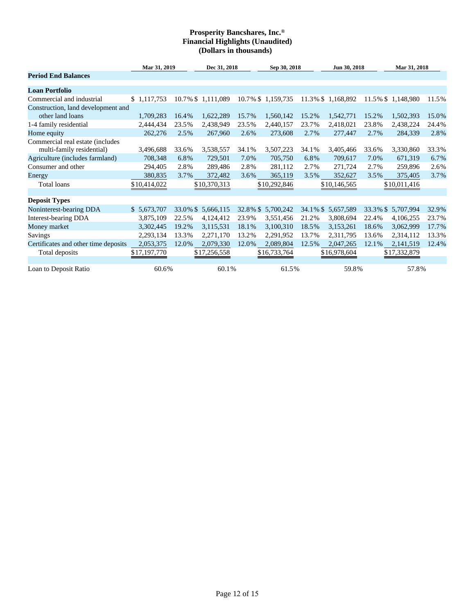|                                                               | Mar 31, 2019 |          | Dec 31, 2018      |       | Sep 30, 2018       |       | Jun 30, 2018       |          | Mar 31, 2018      |       |  |
|---------------------------------------------------------------|--------------|----------|-------------------|-------|--------------------|-------|--------------------|----------|-------------------|-------|--|
| <b>Period End Balances</b>                                    |              |          |                   |       |                    |       |                    |          |                   |       |  |
| <b>Loan Portfolio</b>                                         |              |          |                   |       |                    |       |                    |          |                   |       |  |
| Commercial and industrial                                     | \$1,117,753  |          | 10.7% \$1,111,089 |       | 10.7% \$1,159,735  |       | 11.3% \$1,168,892  |          | 11.5% \$1,148,980 | 11.5% |  |
| Construction, land development and                            |              |          |                   |       |                    |       |                    |          |                   |       |  |
| other land loans                                              | 1,709,283    | 16.4%    | 1,622,289         | 15.7% | 1,560,142          | 15.2% | 1,542,771          | 15.2%    | 1,502,393         | 15.0% |  |
| 1-4 family residential                                        | 2,444,434    | 23.5%    | 2,438,949         | 23.5% | 2,440,157          | 23.7% | 2,418,021          | 23.8%    | 2,438,224         | 24.4% |  |
| Home equity                                                   | 262,276      | 2.5%     | 267,960           | 2.6%  | 273,608            | 2.7%  | 277,447            | 2.7%     | 284,339           | 2.8%  |  |
| Commercial real estate (includes<br>multi-family residential) | 3,496,688    | 33.6%    | 3,538,557         | 34.1% | 3,507,223          | 34.1% | 3,405,466          | 33.6%    | 3,330,860         | 33.3% |  |
| Agriculture (includes farmland)                               | 708,348      | 6.8%     | 729,501           | 7.0%  | 705,750            | 6.8%  | 709,617            | 7.0%     | 671,319           | 6.7%  |  |
| Consumer and other                                            | 294,405      | 2.8%     | 289,486           | 2.8%  | 281,112            | 2.7%  | 271,724            | 2.7%     | 259,896           | 2.6%  |  |
| Energy                                                        | 380,835      | 3.7%     | 372,482           | 3.6%  | 365,119            | 3.5%  | 352,627            | 3.5%     | 375,405           | 3.7%  |  |
| Total loans                                                   | \$10,414,022 |          | \$10,370,313      |       | \$10,292,846       |       | \$10,146,565       |          | \$10,011,416      |       |  |
| <b>Deposit Types</b>                                          |              |          |                   |       |                    |       |                    |          |                   |       |  |
| Noninterest-bearing DDA                                       | \$ 5,673,707 | 33.0% \$ | 5,666,115         |       | 32.8% \$ 5,700,242 |       | 34.1% \$ 5,657,589 | 33.3% \$ | 5,707,994         | 32.9% |  |
| Interest-bearing DDA                                          | 3,875,109    | 22.5%    | 4,124,412         | 23.9% | 3,551,456          | 21.2% | 3,808,694          | 22.4%    | 4,106,255         | 23.7% |  |
| Money market                                                  | 3,302,445    | 19.2%    | 3,115,531         | 18.1% | 3,100,310          | 18.5% | 3,153,261          | 18.6%    | 3,062,999         | 17.7% |  |
| Savings                                                       | 2,293,134    | 13.3%    | 2,271,170         | 13.2% | 2,291,952          | 13.7% | 2,311,795          | 13.6%    | 2,314,112         | 13.3% |  |
| Certificates and other time deposits                          | 2,053,375    | 12.0%    | 2,079,330         | 12.0% | 2,089,804          | 12.5% | 2,047,265          | 12.1%    | 2,141,519         | 12.4% |  |
| Total deposits                                                | \$17,197,770 |          | \$17,256,558      |       | \$16,733,764       |       | \$16,978,604       |          | \$17,332,879      |       |  |
| Loan to Deposit Ratio                                         | 60.6%        |          | 60.1%             |       | 61.5%              |       | 59.8%              |          | 57.8%             |       |  |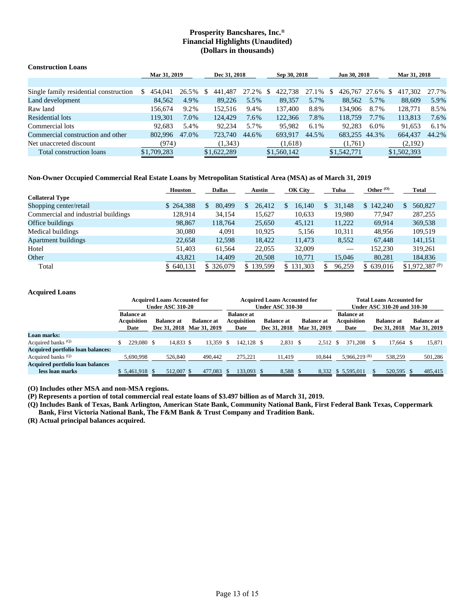| <b>Construction Loans</b>              |              |       |               |              |               |              |                      |       |               |         |  |
|----------------------------------------|--------------|-------|---------------|--------------|---------------|--------------|----------------------|-------|---------------|---------|--|
|                                        | Mar 31, 2019 |       |               | Dec 31, 2018 |               | Sep 30, 2018 | Jun 30, 2018         |       | Mar 31, 2018  |         |  |
|                                        |              |       |               |              |               |              |                      |       |               |         |  |
| Single family residential construction | S<br>454,041 | 26.5% | 441,487<br>S. | 27.2%        | 422,738<br>-S | 27.1%        | 426,767 27.6%<br>\$. |       | 417.302<br>-S | 27.7%   |  |
| Land development                       | 84.562       | 4.9%  | 89,226        | 5.5%         | 89.357        | 5.7%         | 88.562               | 5.7%  | 88,609        | 5.9%    |  |
| Raw land                               | 156.674      | 9.2%  | 152.516       | 9.4%         | 137.400       | 8.8%         | 134.906              | 8.7%  | 128,771       | 8.5%    |  |
| Residential lots                       | 119.301      | 7.0%  | 124.429       | 7.6%         | 122,366       | 7.8%         | 118,759              | 7.7%  | 113,813       | 7.6%    |  |
| Commercial lots                        | 92.683       | 5.4%  | 92.234        | 5.7%         | 95,982        | 6.1%         | 92.283               | 6.0%  | 91,653        | $6.1\%$ |  |
| Commercial construction and other      | 802,996      | 47.0% | 723,740       | 44.6%        | 693.917       | 44.5%        | 683,255              | 44.3% | 664.437       | 44.2%   |  |
| Net unaccreted discount                | (974)        |       | (1,343)       |              | (1,618)       |              | (1,761)              |       | (2,192)       |         |  |
| Total construction loans               | \$1,709,283  |       | \$1,622,289   |              | \$1,560,142   |              | \$1,542,771          |       | \$1,502,393   |         |  |

#### **Non-Owner Occupied Commercial Real Estate Loans by Metropolitan Statistical Area (MSA) as of March 31, 2019**

|                                     | <b>Houston</b> | <b>Dallas</b> | OK City<br><b>Austin</b> |           | Tulsa        | Other $(0)$ | <b>Total</b>       |
|-------------------------------------|----------------|---------------|--------------------------|-----------|--------------|-------------|--------------------|
| <b>Collateral Type</b>              |                |               |                          |           |              |             |                    |
| Shopping center/retail              | \$264,388      | 80,499<br>\$. | 26.412<br>S.             | 16.140    | 31,148<br>S. | \$142,240   | 560,827<br>\$      |
| Commercial and industrial buildings | 128,914        | 34,154        | 15,627                   | 10,633    | 19,980       | 77.947      | 287,255            |
| Office buildings                    | 98,867         | 118.764       | 25,650                   | 45,121    | 11,222       | 69.914      | 369,538            |
| Medical buildings                   | 30,080         | 4.091         | 10.925                   | 5.156     | 10.311       | 48.956      | 109.519            |
| <b>Apartment buildings</b>          | 22,658         | 12,598        | 18.422                   | 11,473    | 8,552        | 67,448      | 141,151            |
| Hotel                               | 51.403         | 61.564        | 22,055                   | 32,009    |              | 152,230     | 319.261            |
| Other                               | 43,821         | 14,409        | 20,508                   | 10,771    | 15,046       | 80,281      | 184,836            |
| Total                               | \$640,131      | \$ 326,079    | \$139,599                | \$131,303 | 96,259       | \$639,016   | $$1,972,387^{(P)}$ |

#### **Acquired Loans**

|                                                            | <b>Acquired Loans Accounted for</b><br><b>Under ASC 310-20</b> |  |                                   |                                   | <b>Acquired Loans Accounted for</b><br><b>Under ASC 310-30</b> |  |                                   |  |                                                                |  | <b>Total Loans Accounted for</b><br>Under ASC 310-20 and 310-30 |  |                                   |  |                                   |
|------------------------------------------------------------|----------------------------------------------------------------|--|-----------------------------------|-----------------------------------|----------------------------------------------------------------|--|-----------------------------------|--|----------------------------------------------------------------|--|-----------------------------------------------------------------|--|-----------------------------------|--|-----------------------------------|
|                                                            | <b>Balance at</b><br>Acquisition<br>Date                       |  | <b>Balance at</b><br>Dec 31, 2018 | <b>Balance at</b><br>Mar 31, 2019 | <b>Balance at</b><br>Acquisition<br>Date                       |  | <b>Balance at</b><br>Dec 31, 2018 |  | <b>Balance at</b><br><b>Balance at</b><br>Mar 31, 2019<br>Date |  | Acquisition                                                     |  | <b>Balance at</b><br>Dec 31, 2018 |  | <b>Balance at</b><br>Mar 31, 2019 |
| <b>Loan marks:</b>                                         |                                                                |  |                                   |                                   |                                                                |  |                                   |  |                                                                |  |                                                                 |  |                                   |  |                                   |
| Acquired banks <sup>(Q)</sup>                              | 229,080 \$                                                     |  | 14.833 \$                         | 13.359 \$                         | 142.128 \$                                                     |  | 2,831 \$                          |  | 2.512 \$                                                       |  | 371.208                                                         |  | 17.664 \$                         |  | 15,871                            |
| <b>Acquired portfolio loan balances:</b>                   |                                                                |  |                                   |                                   |                                                                |  |                                   |  |                                                                |  |                                                                 |  |                                   |  |                                   |
| Acquired banks <sup>(Q)</sup>                              | 5.690.998                                                      |  | 526,840                           | 490,442                           | 275.221                                                        |  | 11.419                            |  | 10.844                                                         |  | 5.966.219 $(R)$                                                 |  | 538,259                           |  | 501,286                           |
| <b>Acquired portfolio loan balances</b><br>less loan marks | $$5,461,918$ \$                                                |  | 512,007 \$                        | 477,083 \$                        | 133,093 \$                                                     |  | 8,588 \$                          |  |                                                                |  | 8,332 \$ 5,595,011                                              |  | 520,595 \$                        |  | 485,415                           |

**(O) Includes other MSA and non-MSA regions.**

**(P) Represents a portion of total commercial real estate loans of \$3.497 billion as of March 31, 2019.**

**(Q) Includes Bank of Texas, Bank Arlington, American State Bank, Community National Bank, First Federal Bank Texas, Coppermark Bank, First Victoria National Bank, The F&M Bank & Trust Company and Tradition Bank.**

**(R) Actual principal balances acquired.**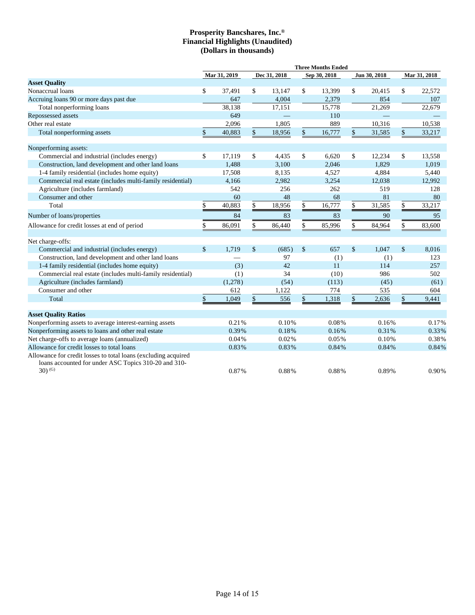|                                                                                                                        | <b>Three Months Ended</b> |              |    |              |               |              |      |              |              |        |  |
|------------------------------------------------------------------------------------------------------------------------|---------------------------|--------------|----|--------------|---------------|--------------|------|--------------|--------------|--------|--|
|                                                                                                                        |                           | Mar 31, 2019 |    | Dec 31, 2018 |               | Sep 30, 2018 |      | Jun 30, 2018 | Mar 31, 2018 |        |  |
| <b>Asset Quality</b>                                                                                                   |                           |              |    |              |               |              |      |              |              |        |  |
| Nonaccrual loans                                                                                                       | \$                        | 37,491       | \$ | 13,147       | \$            | 13,399       | \$   | 20,415       | \$           | 22,572 |  |
| Accruing loans 90 or more days past due                                                                                |                           | 647          |    | 4.004        |               | 2,379        |      | 854          |              | 107    |  |
| Total nonperforming loans                                                                                              |                           | 38.138       |    | 17,151       |               | 15,778       |      | 21,269       |              | 22,679 |  |
| Repossessed assets                                                                                                     |                           | 649          |    |              |               | 110          |      |              |              |        |  |
| Other real estate                                                                                                      |                           | 2.096        |    | 1.805        |               | 889          |      | 10.316       |              | 10.538 |  |
| Total nonperforming assets                                                                                             | \$                        | 40,883       | \$ | 18,956       | $\mathsf{\$}$ | 16,777       | $\$$ | 31,585       | \$           | 33,217 |  |
| Nonperforming assets:                                                                                                  |                           |              |    |              |               |              |      |              |              |        |  |
| Commercial and industrial (includes energy)                                                                            | \$                        | 17,119       | \$ | 4,435        | \$            | 6,620        | \$   | 12,234       | \$           | 13,558 |  |
| Construction, land development and other land loans                                                                    |                           | 1,488        |    | 3,100        |               | 2,046        |      | 1,829        |              | 1,019  |  |
| 1-4 family residential (includes home equity)                                                                          |                           | 17,508       |    | 8,135        |               | 4,527        |      | 4,884        |              | 5,440  |  |
| Commercial real estate (includes multi-family residential)                                                             |                           | 4,166        |    | 2,982        |               | 3,254        |      | 12,038       |              | 12,992 |  |
| Agriculture (includes farmland)                                                                                        |                           | 542          |    | 256          |               | 262          |      | 519          |              | 128    |  |
| Consumer and other                                                                                                     |                           | 60           |    | 48           |               | 68           |      | 81           |              | 80     |  |
| Total                                                                                                                  | \$                        | 40,883       | \$ | 18,956       | \$            | 16,777       | \$   | 31,585       | \$           | 33,217 |  |
| Number of loans/properties                                                                                             |                           | 84           |    | 83           |               | 83           |      | 90           |              | 95     |  |
| Allowance for credit losses at end of period                                                                           | \$                        | 86,091       | \$ | 86,440       | \$            | 85,996       | \$   | 84,964       | \$           | 83,600 |  |
| Net charge-offs:                                                                                                       |                           |              |    |              |               |              |      |              |              |        |  |
| Commercial and industrial (includes energy)                                                                            | $\mathbb{S}$              | 1,719        | \$ | (685)        | $\mathcal{S}$ | 657          | \$   | 1,047        | \$           | 8,016  |  |
| Construction, land development and other land loans                                                                    |                           |              |    | 97           |               | (1)          |      | (1)          |              | 123    |  |
| 1-4 family residential (includes home equity)                                                                          |                           | (3)          |    | 42           |               | 11           |      | 114          |              | 257    |  |
| Commercial real estate (includes multi-family residential)                                                             |                           | (1)          |    | 34           |               | (10)         |      | 986          |              | 502    |  |
| Agriculture (includes farmland)                                                                                        |                           | (1,278)      |    | (54)         |               | (113)        |      | (45)         |              | (61)   |  |
| Consumer and other                                                                                                     |                           | 612          |    | 1,122        |               | 774          |      | 535          |              | 604    |  |
| Total                                                                                                                  | \$                        | 1,049        | \$ | 556          | $\mathbb{S}$  | 1,318        | \$   | 2,636        | \$           | 9,441  |  |
| <b>Asset Ouality Ratios</b>                                                                                            |                           |              |    |              |               |              |      |              |              |        |  |
| Nonperforming assets to average interest-earning assets                                                                |                           | 0.21%        |    | 0.10%        |               | 0.08%        |      | 0.16%        |              | 0.17%  |  |
| Nonperforming assets to loans and other real estate                                                                    |                           | 0.39%        |    | 0.18%        |               | 0.16%        |      | 0.31%        |              | 0.33%  |  |
| Net charge-offs to average loans (annualized)                                                                          |                           | 0.04%        |    | 0.02%        |               | 0.05%        |      | 0.10%        |              | 0.38%  |  |
| Allowance for credit losses to total loans                                                                             |                           | 0.83%        |    | 0.83%        |               | 0.84%        |      | 0.84%        |              | 0.84%  |  |
| Allowance for credit losses to total loans (excluding acquired<br>loans accounted for under ASC Topics 310-20 and 310- |                           |              |    |              |               |              |      |              |              |        |  |
| $30^{(G)}$                                                                                                             |                           | 0.87%        |    | 0.88%        |               | 0.88%        |      | 0.89%        |              | 0.90%  |  |